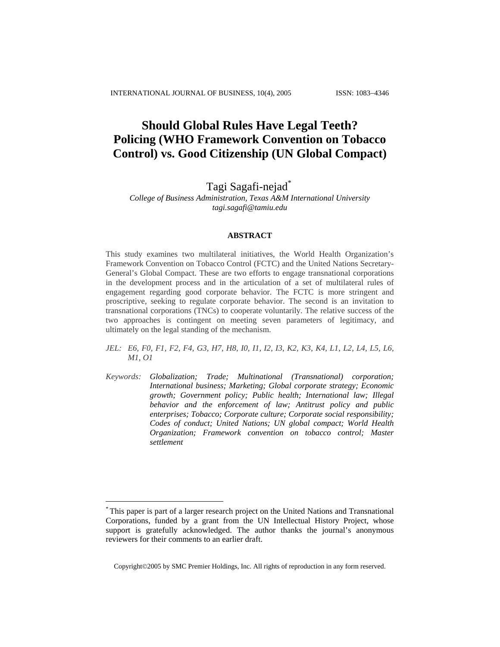# **Should Global Rules Have Legal Teeth? Policing (WHO Framework Convention on Tobacco Control) vs. Good Citizenship (UN Global Compact)**

# Tagi Sagafi-nejad\*

## *College of Business Administration, Texas A&M International University [tagi.sagafi@tamiu.edu](mailto:tagi.sagafi@tamiu.edu)*

### **ABSTRACT**

This study examines two multilateral initiatives, the World Health Organization's Framework Convention on Tobacco Control (FCTC) and the United Nations Secretary-General's Global Compact. These are two efforts to engage transnational corporations in the development process and in the articulation of a set of multilateral rules of engagement regarding good corporate behavior. The FCTC is more stringent and proscriptive, seeking to regulate corporate behavior. The second is an invitation to transnational corporations (TNCs) to cooperate voluntarily. The relative success of the two approaches is contingent on meeting seven parameters of legitimacy, and ultimately on the legal standing of the mechanism.

- *JEL: E6, F0, F1, F2, F4, G3, H7, H8, I0, I1, I2, I3, K2, K3, K4, L1, L2, L4, L5, L6, M1, O1*
- *Keywords: Globalization; Trade; Multinational (Transnational) corporation; International business; Marketing; Global corporate strategy; Economic growth; Government policy; Public health; International law; Illegal behavior and the enforcement of law; Antitrust policy and public enterprises; Tobacco; Corporate culture; Corporate social responsibility; Codes of conduct; United Nations; UN global compact; World Health Organization; Framework convention on tobacco control; Master settlement*

 $\overline{a}$ 

<sup>\*</sup> This paper is part of a larger research project on the United Nations and Transnational Corporations, funded by a grant from the UN Intellectual History Project, whose support is gratefully acknowledged. The author thanks the journal's anonymous reviewers for their comments to an earlier draft.

Copyright©2005 by SMC Premier Holdings, Inc. All rights of reproduction in any form reserved.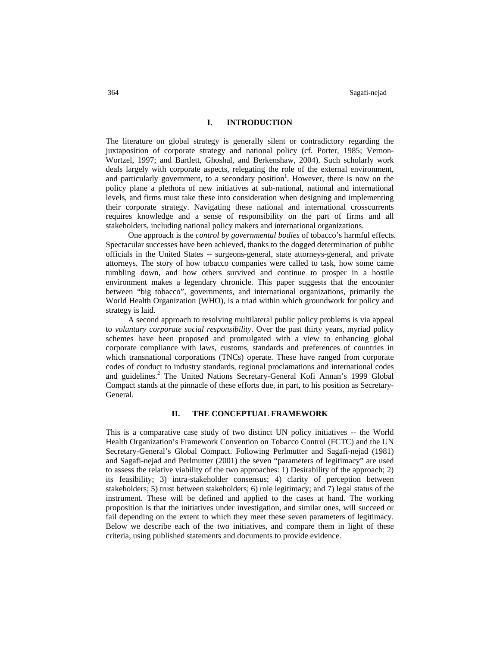### **I. INTRODUCTION**

The literature on global strategy is generally silent or contradictory regarding the juxtaposition of corporate strategy and national policy (cf. Porter, 1985; Vernon-Wortzel, 1997; and Bartlett, Ghoshal, and Berkenshaw, 2004). Such scholarly work deals largely with corporate aspects, relegating the role of the external environment, and particularly government, to a secondary position<sup>1</sup>. However, there is now on the policy plane a plethora of new initiatives at sub-national, national and international levels, and firms must take these into consideration when designing and implementing their corporate strategy. Navigating these national and international crosscurrents requires knowledge and a sense of responsibility on the part of firms and all stakeholders, including national policy makers and international organizations.

One approach is the *control by governmental bodies* of tobacco's harmful effects. Spectacular successes have been achieved, thanks to the dogged determination of public officials in the United States -- surgeons-general, state attorneys-general, and private attorneys. The story of how tobacco companies were called to task, how some came tumbling down, and how others survived and continue to prosper in a hostile environment makes a legendary chronicle. This paper suggests that the encounter between "big tobacco", governments, and international organizations, primarily the World Health Organization (WHO), is a triad within which groundwork for policy and strategy is laid.

A second approach to resolving multilateral public policy problems is via appeal to *voluntary corporate social responsibility*. Over the past thirty years, myriad policy schemes have been proposed and promulgated with a view to enhancing global corporate compliance with laws, customs, standards and preferences of countries in which transnational corporations (TNCs) operate. These have ranged from corporate codes of conduct to industry standards, regional proclamations and international codes and guidelines. 2 The United Nations Secretary-General Kofi Annan's 1999 Global Compact stands at the pinnacle of these efforts due, in part, to his position as Secretary-General.

#### **II. THE CONCEPTUAL FRAMEWORK**

This is a comparative case study of two distinct UN policy initiatives -- the World Health Organization's Framework Convention on Tobacco Control (FCTC) and the UN Secretary-General's Global Compact. Following Perlmutter and Sagafi-nejad (1981) and Sagafi-nejad and Perlmutter (2001) the seven "parameters of legitimacy" are used to assess the relative viability of the two approaches: 1) Desirability of the approach; 2) its feasibility; 3) intra-stakeholder consensus; 4) clarity of perception between stakeholders; 5) trust between stakeholders; 6) role legitimacy; and 7) legal status of the instrument. These will be defined and applied to the cases at hand. The working proposition is that the initiatives under investigation, and similar ones, will succeed or fail depending on the extent to which they meet these seven parameters of legitimacy. Below we describe each of the two initiatives, and compare them in light of these criteria, using published statements and documents to provide evidence.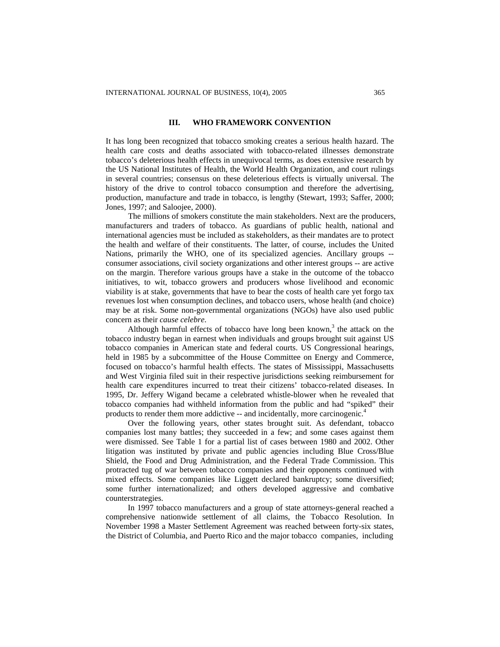#### **III. WHO FRAMEWORK CONVENTION**

It has long been recognized that tobacco smoking creates a serious health hazard. The health care costs and deaths associated with tobacco-related illnesses demonstrate tobacco's deleterious health effects in unequivocal terms, as does extensive research by the US National Institutes of Health, the World Health Organization, and court rulings in several countries; consensus on these deleterious effects is virtually universal. The history of the drive to control tobacco consumption and therefore the advertising, production, manufacture and trade in tobacco, is lengthy (Stewart, 1993; Saffer, 2000; Jones, 1997; and Saloojee, 2000).

The millions of smokers constitute the main stakeholders. Next are the producers, manufacturers and traders of tobacco. As guardians of public health, national and international agencies must be included as stakeholders, as their mandates are to protect the health and welfare of their constituents. The latter, of course, includes the United Nations, primarily the WHO, one of its specialized agencies. Ancillary groups - consumer associations, civil society organizations and other interest groups -- are active on the margin. Therefore various groups have a stake in the outcome of the tobacco initiatives, to wit, tobacco growers and producers whose livelihood and economic viability is at stake, governments that have to bear the costs of health care yet forgo tax revenues lost when consumption declines, and tobacco users, whose health (and choice) may be at risk. Some non-governmental organizations (NGOs) have also used public concern as their *cause celebre*.

Although harmful effects of tobacco have long been known, $3$  the attack on the tobacco industry began in earnest when individuals and groups brought suit against US tobacco companies in American state and federal courts. US Congressional hearings, held in 1985 by a subcommittee of the House Committee on Energy and Commerce, focused on tobacco's harmful health effects. The states of Mississippi, Massachusetts and West Virginia filed suit in their respective jurisdictions seeking reimbursement for health care expenditures incurred to treat their citizens' tobacco-related diseases. In 1995, Dr. Jeffery Wigand became a celebrated whistle-blower when he revealed that tobacco companies had withheld information from the public and had "spiked" their products to render them more addictive -- and incidentally, more carcinogenic.<sup>4</sup>

Over the following years, other states brought suit. As defendant, tobacco companies lost many battles; they succeeded in a few; and some cases against them were dismissed. See Table 1 for a partial list of cases between 1980 and 2002. Other litigation was instituted by private and public agencies including Blue Cross/Blue Shield, the Food and Drug Administration, and the Federal Trade Commission. This protracted tug of war between tobacco companies and their opponents continued with mixed effects. Some companies like Liggett declared bankruptcy; some diversified; some further internationalized; and others developed aggressive and combative counterstrategies.

In 1997 tobacco manufacturers and a group of state attorneys-general reached a comprehensive nationwide settlement of all claims, the Tobacco Resolution. In November 1998 a Master Settlement Agreement was reached between forty-six states, the District of Columbia, and Puerto Rico and the major tobacco companies, including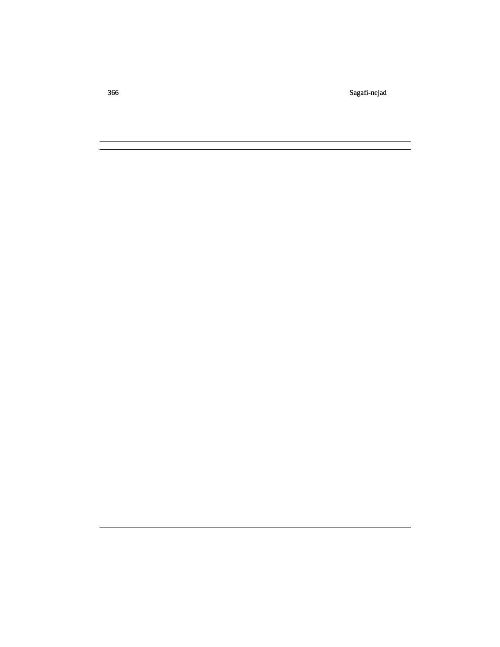366 Sagafi-nejad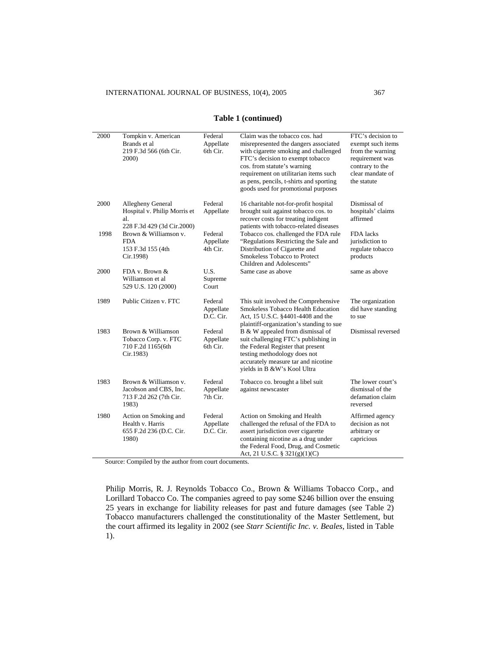# **Table 1 (continued)**

| 2000 | Tompkin v. American<br>Brands et al<br>219 F.3d 566 (6th Cir.<br>2000)                 | Federal<br>Appellate<br>6th Cir.  | Claim was the tobacco cos. had<br>misrepresented the dangers associated<br>with cigarette smoking and challenged<br>FTC's decision to exempt tobacco<br>cos. from statute's warning<br>requirement on utilitarian items such<br>as pens, pencils, t-shirts and sporting<br>goods used for promotional purposes | FTC's decision to<br>exempt such items<br>from the warning<br>requirement was<br>contrary to the<br>clear mandate of<br>the statute |
|------|----------------------------------------------------------------------------------------|-----------------------------------|----------------------------------------------------------------------------------------------------------------------------------------------------------------------------------------------------------------------------------------------------------------------------------------------------------------|-------------------------------------------------------------------------------------------------------------------------------------|
| 2000 | Allegheny General<br>Hospital v. Philip Morris et<br>al.<br>228 F.3d 429 (3d Cir.2000) | Federal<br>Appellate              | 16 charitable not-for-profit hospital<br>brought suit against tobacco cos. to<br>recover costs for treating indigent<br>patients with tobacco-related diseases                                                                                                                                                 | Dismissal of<br>hospitals' claims<br>affirmed                                                                                       |
| 1998 | Brown & Williamson v.<br><b>FDA</b><br>153 F.3d 155 (4th<br>Cir.1998)                  | Federal<br>Appellate<br>4th Cir.  | Tobacco cos. challenged the FDA rule<br>"Regulations Restricting the Sale and<br>Distribution of Cigarette and<br>Smokeless Tobacco to Protect<br>Children and Adolescents"                                                                                                                                    | FDA lacks<br>jurisdiction to<br>regulate tobacco<br>products                                                                        |
| 2000 | FDA v. Brown &<br>Williamson et al<br>529 U.S. 120 (2000)                              | U.S.<br>Supreme<br>Court          | Same case as above                                                                                                                                                                                                                                                                                             | same as above                                                                                                                       |
| 1989 | Public Citizen v. FTC                                                                  | Federal<br>Appellate<br>D.C. Cir. | This suit involved the Comprehensive<br>Smokeless Tobacco Health Education<br>Act, 15 U.S.C. §4401-4408 and the<br>plaintiff-organization's standing to sue                                                                                                                                                    | The organization<br>did have standing<br>to sue                                                                                     |
| 1983 | Brown & Williamson<br>Tobacco Corp. v. FTC<br>710 F.2d 1165(6th<br>Cir.1983)           | Federal<br>Appellate<br>6th Cir.  | B & W appealed from dismissal of<br>suit challenging FTC's publishing in<br>the Federal Register that present<br>testing methodology does not<br>accurately measure tar and nicotine<br>yields in B &W's Kool Ultra                                                                                            | Dismissal reversed                                                                                                                  |
| 1983 | Brown & Williamson v.<br>Jacobson and CBS, Inc.<br>713 F.2d 262 (7th Cir.<br>1983)     | Federal<br>Appellate<br>7th Cir.  | Tobacco co. brought a libel suit<br>against newscaster                                                                                                                                                                                                                                                         | The lower court's<br>dismissal of the<br>defamation claim<br>reversed                                                               |
| 1980 | Action on Smoking and<br>Health v. Harris<br>655 F.2d 236 (D.C. Cir.<br>1980)          | Federal<br>Appellate<br>D.C. Cir. | Action on Smoking and Health<br>challenged the refusal of the FDA to<br>assert jurisdiction over cigarette<br>containing nicotine as a drug under<br>the Federal Food, Drug, and Cosmetic<br>Act, 21 U.S.C. § $321(g)(1)(C)$                                                                                   | Affirmed agency<br>decision as not<br>arbitrary or<br>capricious                                                                    |

Source: Compiled by the author from court documents.

Philip Morris, R. J. Reynolds Tobacco Co., Brown & Williams Tobacco Corp., and Lorillard Tobacco Co. The companies agreed to pay some \$246 billion over the ensuing 25 years in exchange for liability releases for past and future damages (see Table 2) Tobacco manufacturers challenged the constitutionality of the Master Settlement, but the court affirmed its legality in 2002 (see *Starr Scientific Inc. v. Beales*, listed in Table 1).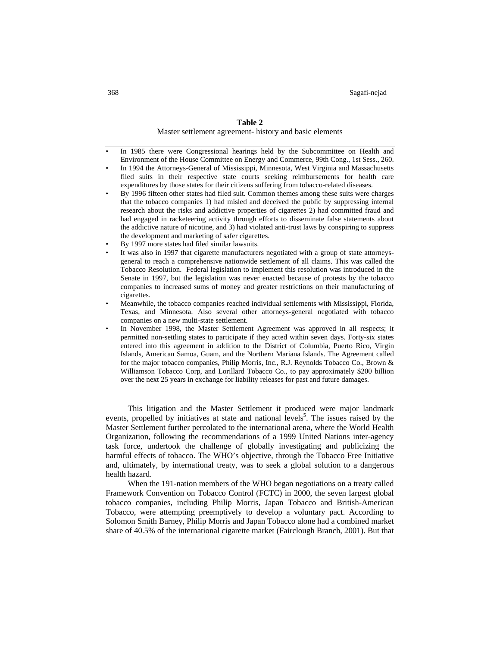### **Table 2** Master settlement agreement- history and basic elements

- In 1985 there were Congressional hearings held by the Subcommittee on Health and Environment of the House Committee on Energy and Commerce, 99th Cong., 1st Sess., 260.
- In 1994 the Attorneys-General of Mississippi, Minnesota, West Virginia and Massachusetts filed suits in their respective state courts seeking reimbursements for health care expenditures by those states for their citizens suffering from tobacco-related diseases.
- By 1996 fifteen other states had filed suit. Common themes among these suits were charges that the tobacco companies 1) had misled and deceived the public by suppressing internal research about the risks and addictive properties of cigarettes 2) had committed fraud and had engaged in racketeering activity through efforts to disseminate false statements about the addictive nature of nicotine, and 3) had violated anti-trust laws by conspiring to suppress the development and marketing of safer cigarettes.
- By 1997 more states had filed similar lawsuits.
- It was also in 1997 that cigarette manufacturers negotiated with a group of state attorneysgeneral to reach a comprehensive nationwide settlement of all claims. This was called the Tobacco Resolution. Federal legislation to implement this resolution was introduced in the Senate in 1997, but the legislation was never enacted because of protests by the tobacco companies to increased sums of money and greater restrictions on their manufacturing of cigarettes.
- Meanwhile, the tobacco companies reached individual settlements with Mississippi, Florida, Texas, and Minnesota. Also several other attorneys-general negotiated with tobacco companies on a new multi-state settlement.
- In November 1998, the Master Settlement Agreement was approved in all respects; it permitted non-settling states to participate if they acted within seven days. Forty-six states entered into this agreement in addition to the District of Columbia, Puerto Rico, Virgin Islands, American Samoa, Guam, and the Northern Mariana Islands. The Agreement called for the major tobacco companies, Philip Morris, Inc., R.J. Reynolds Tobacco Co., Brown & Williamson Tobacco Corp, and Lorillard Tobacco Co., to pay approximately \$200 billion over the next 25 years in exchange for liability releases for past and future damages.

This litigation and the Master Settlement it produced were major landmark events, propelled by initiatives at state and national levels<sup>5</sup>. The issues raised by the Master Settlement further percolated to the international arena, where the World Health Organization, following the recommendations of a 1999 United Nations inter-agency task force, undertook the challenge of globally investigating and publicizing the harmful effects of tobacco. The WHO's objective, through the Tobacco Free Initiative and, ultimately, by international treaty, was to seek a global solution to a dangerous health hazard.

When the 191-nation members of the WHO began negotiations on a treaty called Framework Convention on Tobacco Control (FCTC) in 2000, the seven largest global tobacco companies, including Philip Morris, Japan Tobacco and British-American Tobacco, were attempting preemptively to develop a voluntary pact. According to Solomon Smith Barney, Philip Morris and Japan Tobacco alone had a combined market share of 40.5% of the international cigarette market (Fairclough Branch, 2001). But that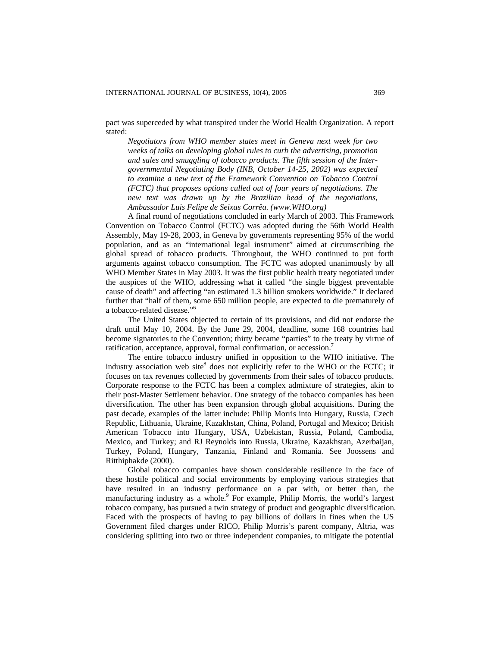pact was superceded by what transpired under the World Health Organization. A report stated:

*Negotiators from WHO member states meet in Geneva next week for two weeks of talks on developing global rules to curb the advertising, promotion and sales and smuggling of tobacco products. The fifth session of the Intergovernmental Negotiating Body (INB, October 14-25, 2002) was expected to examine a new text of the Framework Convention on Tobacco Control (FCTC) that proposes options culled out of four years of negotiations. The new text was drawn up by the Brazilian head of the negotiations, Ambassador Luis Felipe de Seixas Corrêa. ([www.WHO.org\)](http://www.who.org/)* 

A final round of negotiations concluded in early March of 2003. This Framework Convention on Tobacco Control (FCTC) was adopted during the 56th World Health Assembly, May 19-28, 2003, in Geneva by governments representing 95% of the world population, and as an "international legal instrument" aimed at circumscribing the global spread of tobacco products. Throughout, the WHO continued to put forth arguments against tobacco consumption. The FCTC was adopted unanimously by all WHO Member States in May 2003. It was the first public health treaty negotiated under the auspices of the WHO, addressing what it called "the single biggest preventable cause of death" and affecting "an estimated 1.3 billion smokers worldwide." It declared further that "half of them, some 650 million people, are expected to die prematurely of a tobacco-related disease."6

The United States objected to certain of its provisions, and did not endorse the draft until May 10, 2004. By the June 29, 2004, deadline, some 168 countries had become signatories to the Convention; thirty became "parties" to the treaty by virtue of ratification, acceptance, approval, formal confirmation, or accession.<sup>7</sup>

The entire tobacco industry unified in opposition to the WHO initiative. The industry association web site<sup>8</sup> does not explicitly refer to the WHO or the FCTC; it focuses on tax revenues collected by governments from their sales of tobacco products. Corporate response to the FCTC has been a complex admixture of strategies, akin to their post-Master Settlement behavior. One strategy of the tobacco companies has been diversification. The other has been expansion through global acquisitions. During the past decade, examples of the latter include: Philip Morris into Hungary, Russia, Czech Republic, Lithuania, Ukraine, Kazakhstan, China, Poland, Portugal and Mexico; British American Tobacco into Hungary, USA, Uzbekistan, Russia, Poland, Cambodia, Mexico, and Turkey; and RJ Reynolds into Russia, Ukraine, Kazakhstan, Azerbaijan, Turkey, Poland, Hungary, Tanzania, Finland and Romania. See Joossens and Ritthiphakde (2000).

Global tobacco companies have shown considerable resilience in the face of these hostile political and social environments by employing various strategies that have resulted in an industry performance on a par with, or better than, the manufacturing industry as a whole.<sup>9</sup> For example, Philip Morris, the world's largest tobacco company, has pursued a twin strategy of product and geographic diversification. Faced with the prospects of having to pay billions of dollars in fines when the US Government filed charges under RICO, Philip Morris's parent company, Altria, was considering splitting into two or three independent companies, to mitigate the potential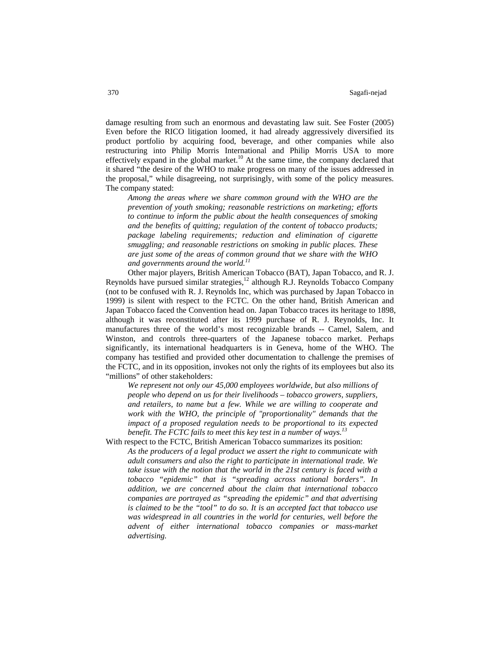damage resulting from such an enormous and devastating law suit. See Foster (2005) Even before the RICO litigation loomed, it had already aggressively diversified its product portfolio by acquiring food, beverage, and other companies while also restructuring into Philip Morris International and Philip Morris USA to more effectively expand in the global market.<sup>10</sup> At the same time, the company declared that it shared "the desire of the WHO to make progress on many of the issues addressed in the proposal," while disagreeing, not surprisingly, with some of the policy measures. The company stated:

*Among the areas where we share common ground with the WHO are the prevention of youth smoking; reasonable restrictions on marketing; efforts to continue to inform the public about the health consequences of smoking and the benefits of quitting; regulation of the content of tobacco products; package labeling requirements; reduction and elimination of cigarette smuggling; and reasonable restrictions on smoking in public places. These are just some of the areas of common ground that we share with the WHO and governments around the world.<sup>11</sup>*

Other major players, British American Tobacco (BAT), Japan Tobacco, and R. J. Reynolds have pursued similar strategies, $12$  although R.J. Reynolds Tobacco Company (not to be confused with R. J. Reynolds Inc, which was purchased by Japan Tobacco in 1999) is silent with respect to the FCTC. On the other hand, British American and Japan Tobacco faced the Convention head on. Japan Tobacco traces its heritage to 1898, although it was reconstituted after its 1999 purchase of R. J. Reynolds, Inc. It manufactures three of the world's most recognizable brands -- Camel, Salem, and Winston, and controls three-quarters of the Japanese tobacco market. Perhaps significantly, its international headquarters is in Geneva, home of the WHO. The company has testified and provided other documentation to challenge the premises of the FCTC, and in its opposition, invokes not only the rights of its employees but also its "millions" of other stakeholders:

*We represent not only our 45,000 employees worldwide, but also millions of people who depend on us for their livelihoods – tobacco growers, suppliers, and retailers, to name but a few. While we are willing to cooperate and work with the WHO, the principle of "proportionality" demands that the impact of a proposed regulation needs to be proportional to its expected benefit. The FCTC fails to meet this key test in a number of ways.*<sup>13</sup>

With respect to the FCTC, British American Tobacco summarizes its position: *As the producers of a legal product we assert the right to communicate with adult consumers and also the right to participate in international trade. We take issue with the notion that the world in the 21st century is faced with a tobacco "epidemic" that is "spreading across national borders". In addition, we are concerned about the claim that international tobacco companies are portrayed as "spreading the epidemic" and that advertising is claimed to be the "tool" to do so. It is an accepted fact that tobacco use was widespread in all countries in the world for centuries, well before the advent of either international tobacco companies or mass-market advertising.*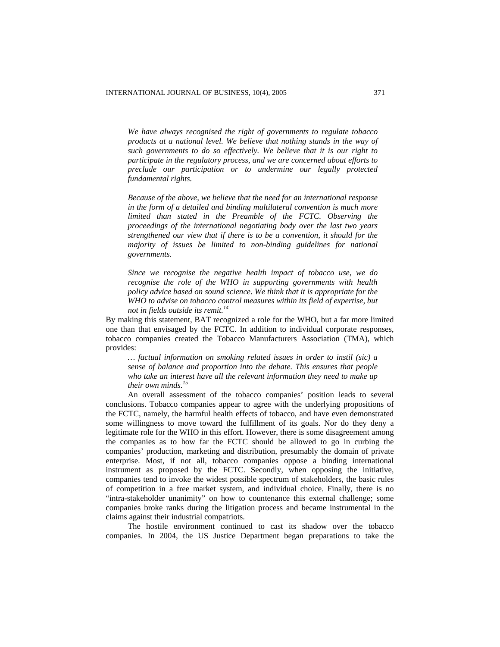*We have always recognised the right of governments to regulate tobacco products at a national level. We believe that nothing stands in the way of such governments to do so effectively. We believe that it is our right to participate in the regulatory process, and we are concerned about efforts to preclude our participation or to undermine our legally protected fundamental rights.* 

*Because of the above, we believe that the need for an international response in the form of a detailed and binding multilateral convention is much more limited than stated in the Preamble of the FCTC. Observing the proceedings of the international negotiating body over the last two years strengthened our view that if there is to be a convention, it should for the majority of issues be limited to non-binding guidelines for national governments.* 

*Since we recognise the negative health impact of tobacco use, we do recognise the role of the WHO in supporting governments with health policy advice based on sound science. We think that it is appropriate for the WHO to advise on tobacco control measures within its field of expertise, but not in fields outside its remit.14* 

By making this statement, BAT recognized a role for the WHO, but a far more limited one than that envisaged by the FCTC. In addition to individual corporate responses, tobacco companies created the Tobacco Manufacturers Association (TMA), which provides:

*… factual information on smoking related issues in order to instil (sic) a sense of balance and proportion into the debate. This ensures that people who take an interest have all the relevant information they need to make up their own minds.<sup>15</sup>*

An overall assessment of the tobacco companies' position leads to several conclusions. Tobacco companies appear to agree with the underlying propositions of the FCTC, namely, the harmful health effects of tobacco, and have even demonstrated some willingness to move toward the fulfillment of its goals. Nor do they deny a legitimate role for the WHO in this effort. However, there is some disagreement among the companies as to how far the FCTC should be allowed to go in curbing the companies' production, marketing and distribution, presumably the domain of private enterprise. Most, if not all, tobacco companies oppose a binding international instrument as proposed by the FCTC. Secondly, when opposing the initiative, companies tend to invoke the widest possible spectrum of stakeholders, the basic rules of competition in a free market system, and individual choice. Finally, there is no "intra-stakeholder unanimity" on how to countenance this external challenge; some companies broke ranks during the litigation process and became instrumental in the claims against their industrial compatriots.

The hostile environment continued to cast its shadow over the tobacco companies. In 2004, the US Justice Department began preparations to take the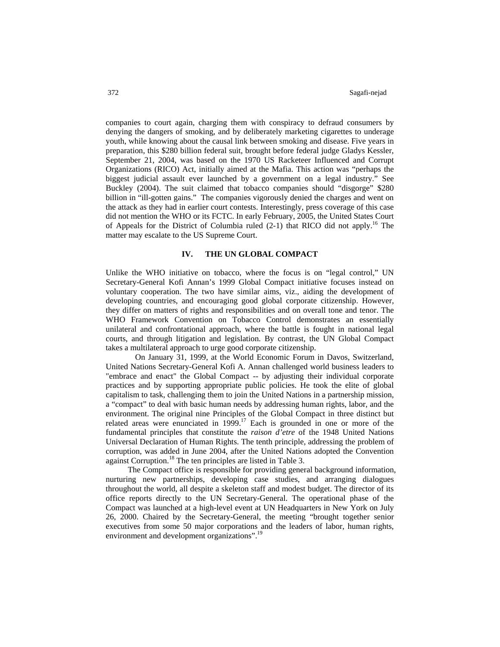companies to court again, charging them with conspiracy to defraud consumers by denying the dangers of smoking, and by deliberately marketing cigarettes to underage youth, while knowing about the causal link between smoking and disease. Five years in preparation, this \$280 billion federal suit, brought before federal judge Gladys Kessler, September 21, 2004, was based on the 1970 US Racketeer Influenced and Corrupt Organizations (RICO) Act, initially aimed at the Mafia. This action was "perhaps the biggest judicial assault ever launched by a government on a legal industry." See Buckley (2004). The suit claimed that tobacco companies should "disgorge" \$280 billion in "ill-gotten gains." The companies vigorously denied the charges and went on the attack as they had in earlier court contests. Interestingly, press coverage of this case did not mention the WHO or its FCTC. In early February, 2005, the United States Court of Appeals for the District of Columbia ruled (2-1) that RICO did not apply.<sup>16</sup> The matter may escalate to the US Supreme Court.

#### **IV. THE UN GLOBAL COMPACT**

Unlike the WHO initiative on tobacco, where the focus is on "legal control," UN Secretary-General Kofi Annan's 1999 Global Compact initiative focuses instead on voluntary cooperation. The two have similar aims, viz., aiding the development of developing countries, and encouraging good global corporate citizenship. However, they differ on matters of rights and responsibilities and on overall tone and tenor. The WHO Framework Convention on Tobacco Control demonstrates an essentially unilateral and confrontational approach, where the battle is fought in national legal courts, and through litigation and legislation. By contrast, the UN Global Compact takes a multilateral approach to urge good corporate citizenship.

On January 31, 1999, at the World Economic Forum in Davos, Switzerland, United Nations Secretary-General Kofi A. Annan challenged world business leaders to "embrace and enact" the Global Compact -- by adjusting their individual corporate practices and by supporting appropriate public policies. He took the elite of global capitalism to task, challenging them to join the United Nations in a partnership mission, a "compact" to deal with basic human needs by addressing human rights, labor, and the environment. The original nine Principles of the Global Compact in three distinct but related areas were enunciated in 1999.<sup>17</sup> Each is grounded in one or more of the fundamental principles that constitute the *raison d'etre* of the 1948 United Nations Universal Declaration of Human Rights. The tenth principle, addressing the problem of corruption, was added in June 2004, after the United Nations adopted the Convention against Corruption.<sup>18</sup> The ten principles are listed in Table 3.

The Compact office is responsible for providing general background information, nurturing new partnerships, developing case studies, and arranging dialogues throughout the world, all despite a skeleton staff and modest budget. The director of its office reports directly to the UN Secretary-General. The operational phase of the Compact was launched at a high-level event at UN Headquarters in New York on July 26, 2000. Chaired by the Secretary-General, the meeting "brought together senior executives from some 50 major corporations and the leaders of labor, human rights, environment and development organizations".<sup>19</sup>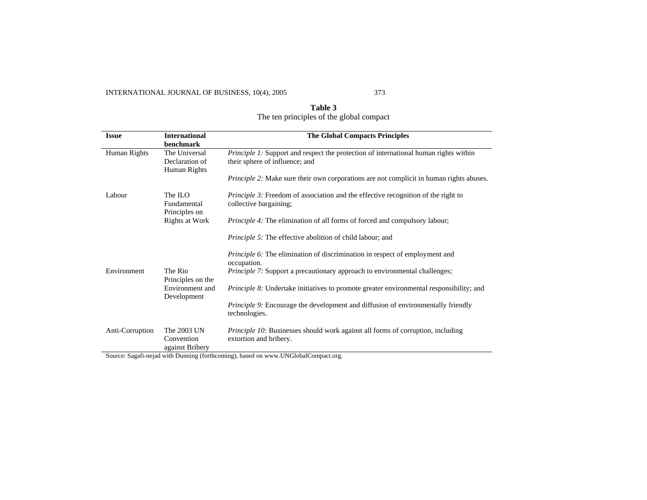INTERNATIONAL JOURNAL OF BUSINESS, 10(4), 2005 373

| <b>Issue</b>    | <b>International</b><br>benchmark               | <b>The Global Compacts Principles</b>                                                                                         |
|-----------------|-------------------------------------------------|-------------------------------------------------------------------------------------------------------------------------------|
| Human Rights    | The Universal<br>Declaration of<br>Human Rights | <i>Principle 1:</i> Support and respect the protection of international human rights within<br>their sphere of influence; and |
|                 |                                                 | <i>Principle 2:</i> Make sure their own corporations are not complicit in human rights abuses.                                |
| Labour          | The ILO<br>Fundamental<br>Principles on         | <i>Principle 3:</i> Freedom of association and the effective recognition of the right to<br>collective bargaining;            |
|                 | Rights at Work                                  | <i>Principle 4:</i> The elimination of all forms of forced and compulsory labour;                                             |
|                 |                                                 | <i>Principle 5:</i> The effective abolition of child labour; and                                                              |
|                 |                                                 | <i>Principle 6:</i> The elimination of discrimination in respect of employment and<br>occupation.                             |
| Environment     | The Rio<br>Principles on the                    | <i>Principle 7:</i> Support a precautionary approach to environmental challenges;                                             |
|                 | Environment and<br>Development                  | <i>Principle 8:</i> Undertake initiatives to promote greater environmental responsibility; and                                |
|                 |                                                 | <i>Principle 9:</i> Encourage the development and diffusion of environmentally friendly<br>technologies.                      |
| Anti-Corruption | The 2003 UN<br>Convention<br>against Bribery    | Principle 10: Businesses should work against all forms of corruption, including<br>extortion and bribery.                     |

# **Table 3**The ten pri nciples of t he global compact

Source: Sagafi-nejad with Dunning (forthcoming), based on [www.UNGlobalCompact.org](http://www.unglobalcompact.org/).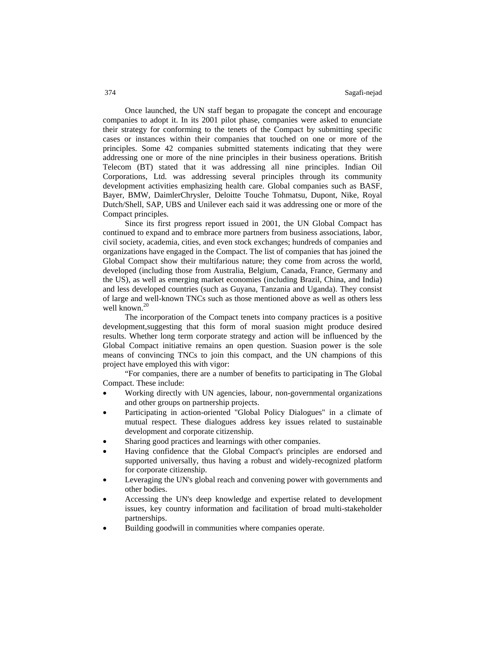Once launched, the UN staff began to propagate the concept and encourage companies to adopt it. In its 2001 pilot phase, companies were asked to enunciate their strategy for conforming to the tenets of the Compact by submitting specific cases or instances within their companies that touched on one or more of the principles. Some 42 companies submitted statements indicating that they were addressing one or more of the nine principles in their business operations. British Telecom (BT) stated that it was addressing all nine principles. Indian Oil Corporations, Ltd. was addressing several principles through its community development activities emphasizing health care. Global companies such as BASF, Bayer, BMW, DaimlerChrysler, Deloitte Touche Tohmatsu, Dupont, Nike, Royal Dutch/Shell, SAP, UBS and Unilever each said it was addressing one or more of the Compact principles.

Since its first progress report issued in 2001, the UN Global Compact has continued to expand and to embrace more partners from business associations, labor, civil society, academia, cities, and even stock exchanges; hundreds of companies and organizations have engaged in the Compact. The list of companies that has joined the Global Compact show their multifarious nature; they come from across the world, developed (including those from Australia, Belgium, Canada, France, Germany and the US), as well as emerging market economies (including Brazil, China, and India) and less developed countries (such as Guyana, Tanzania and Uganda). They consist of large and well-known TNCs such as those mentioned above as well as others less well known.<sup>20</sup>

The incorporation of the Compact tenets into company practices is a positive development,suggesting that this form of moral suasion might produce desired results. Whether long term corporate strategy and action will be influenced by the Global Compact initiative remains an open question. Suasion power is the sole means of convincing TNCs to join this compact, and the UN champions of this project have employed this with vigor:

"For companies, there are a number of benefits to participating in The Global Compact. These include:

- Working directly with UN agencies, labour, non-governmental organizations and other groups on partnership projects.
- Participating in action-oriented "Global Policy Dialogues" in a climate of mutual respect. These dialogues address key issues related to sustainable development and corporate citizenship.
- Sharing good practices and learnings with other companies.
- Having confidence that the Global Compact's principles are endorsed and supported universally, thus having a robust and widely-recognized platform for corporate citizenship.
- Leveraging the UN's global reach and convening power with governments and other bodies.
- Accessing the UN's deep knowledge and expertise related to development issues, key country information and facilitation of broad multi-stakeholder partnerships.
- Building goodwill in communities where companies operate.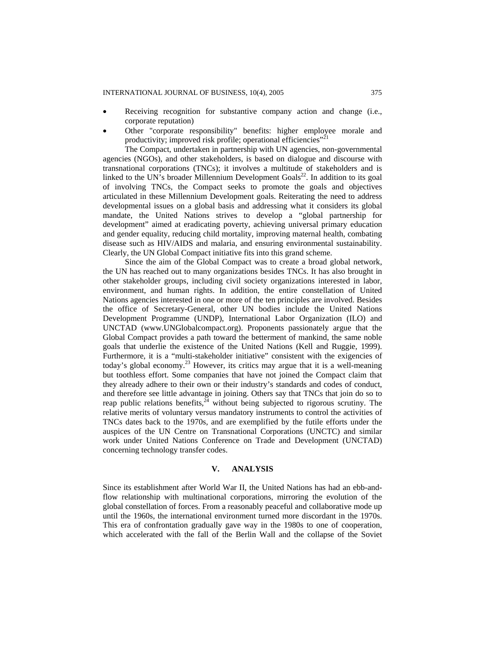- Receiving recognition for substantive company action and change (i.e., corporate reputation)
- Other "corporate responsibility" benefits: higher employee morale and productivity; improved risk profile; operational efficiencies"<sup>2</sup>

The Compact, undertaken in partnership with UN agencies, non-governmental agencies (NGOs), and other stakeholders, is based on dialogue and discourse with transnational corporations (TNCs); it involves a multitude of stakeholders and is linked to the UN's broader Millennium Development Goals<sup>22</sup>. In addition to its goal of involving TNCs, the Compact seeks to promote the goals and objectives articulated in these Millennium Development goals. Reiterating the need to address developmental issues on a global basis and addressing what it considers its global mandate, the United Nations strives to develop a "global partnership for development" aimed at eradicating poverty, achieving universal primary education and gender equality, reducing child mortality, improving maternal health, combating disease such as HIV/AIDS and malaria, and ensuring environmental sustainability. Clearly, the UN Global Compact initiative fits into this grand scheme.

Since the aim of the Global Compact was to create a broad global network, the UN has reached out to many organizations besides TNCs. It has also brought in other stakeholder groups, including civil society organizations interested in labor, environment, and human rights. In addition, the entire constellation of United Nations agencies interested in one or more of the ten principles are involved. Besides the office of Secretary-General, other UN bodies include the United Nations Development Programme (UNDP), International Labor Organization (ILO) and UNCTAD [\(www.UNGlobalcompact.org\)](http://www.unglobalcompact.org/). Proponents passionately argue that the Global Compact provides a path toward the betterment of mankind, the same noble goals that underlie the existence of the United Nations (Kell and Ruggie, 1999). Furthermore, it is a "multi-stakeholder initiative" consistent with the exigencies of today's global economy. 23 However, its critics may argue that it is a well-meaning but toothless effort. Some companies that have not joined the Compact claim that they already adhere to their own or their industry's standards and codes of conduct, and therefore see little advantage in joining. Others say that TNCs that join do so to reap public relations benefits, $^{24}$  without being subjected to rigorous scrutiny. The relative merits of voluntary versus mandatory instruments to control the activities of TNCs dates back to the 1970s, and are exemplified by the futile efforts under the auspices of the UN Centre on Transnational Corporations (UNCTC) and similar work under United Nations Conference on Trade and Development (UNCTAD) concerning technology transfer codes.

### **V. ANALYSIS**

Since its establishment after World War II, the United Nations has had an ebb-andflow relationship with multinational corporations, mirroring the evolution of the global constellation of forces. From a reasonably peaceful and collaborative mode up until the 1960s, the international environment turned more discordant in the 1970s. This era of confrontation gradually gave way in the 1980s to one of cooperation, which accelerated with the fall of the Berlin Wall and the collapse of the Soviet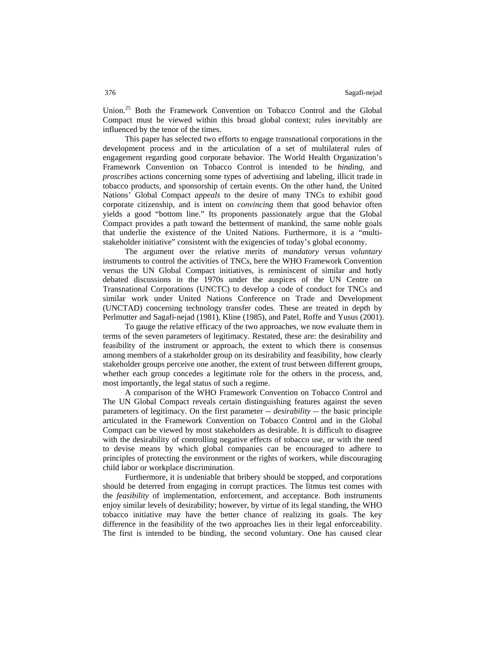Union.<sup>25</sup> Both the Framework Convention on Tobacco Control and the Global Compact must be viewed within this broad global context; rules inevitably are influenced by the tenor of the times.

This paper has selected two efforts to engage transnational corporations in the development process and in the articulation of a set of multilateral rules of engagement regarding good corporate behavior. The World Health Organization's Framework Convention on Tobacco Control is intended to be *binding*, and *proscribes* actions concerning some types of advertising and labeling, illicit trade in tobacco products, and sponsorship of certain events. On the other hand, the United Nations' Global Compact *appeals* to the desire of many TNCs to exhibit good corporate citizenship, and is intent on *convincing* them that good behavior often yields a good "bottom line." Its proponents passionately argue that the Global Compact provides a path toward the betterment of mankind, the same noble goals that underlie the existence of the United Nations. Furthermore, it is a "multistakeholder initiative" consistent with the exigencies of today's global economy.

The argument over the relative merits of *mandatory* versus *voluntary* instruments to control the activities of TNCs, here the WHO Framework Convention versus the UN Global Compact initiatives, is reminiscent of similar and hotly debated discussions in the 1970s under the auspices of the UN Centre on Transnational Corporations (UNCTC) to develop a code of conduct for TNCs and similar work under United Nations Conference on Trade and Development (UNCTAD) concerning technology transfer codes. These are treated in depth by Perlmutter and Sagafi-nejad (1981), Kline (1985), and Patel, Roffe and Yusus (2001).

To gauge the relative efficacy of the two approaches, we now evaluate them in terms of the seven parameters of legitimacy. Restated, these are: the desirability and feasibility of the instrument or approach, the extent to which there is consensus among members of a stakeholder group on its desirability and feasibility, how clearly stakeholder groups perceive one another, the extent of trust between different groups, whether each group concedes a legitimate role for the others in the process, and, most importantly, the legal status of such a regime.

A comparison of the WHO Framework Convention on Tobacco Control and The UN Global Compact reveals certain distinguishing features against the seven parameters of legitimacy. On the first parameter -- *desirability* -- the basic principle articulated in the Framework Convention on Tobacco Control and in the Global Compact can be viewed by most stakeholders as desirable. It is difficult to disagree with the desirability of controlling negative effects of tobacco use, or with the need to devise means by which global companies can be encouraged to adhere to principles of protecting the environment or the rights of workers, while discouraging child labor or workplace discrimination.

Furthermore, it is undeniable that bribery should be stopped, and corporations should be deterred from engaging in corrupt practices. The litmus test comes with the *feasibility* of implementation, enforcement, and acceptance. Both instruments enjoy similar levels of desirability; however, by virtue of its legal standing, the WHO tobacco initiative may have the better chance of realizing its goals. The key difference in the feasibility of the two approaches lies in their legal enforceability. The first is intended to be binding, the second voluntary. One has caused clear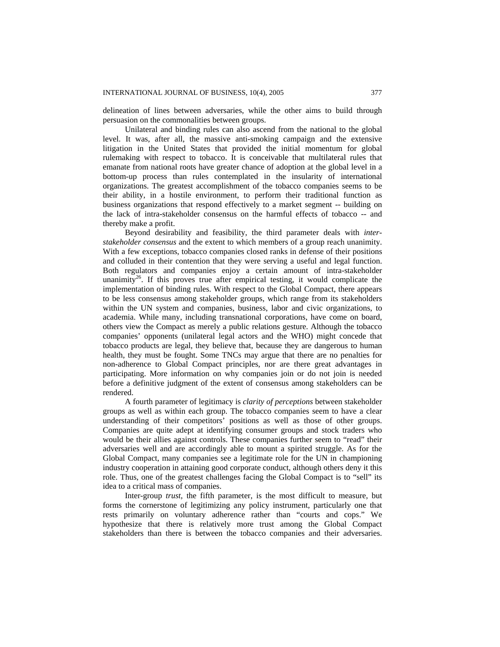delineation of lines between adversaries, while the other aims to build through persuasion on the commonalities between groups.

Unilateral and binding rules can also ascend from the national to the global level. It was, after all, the massive anti-smoking campaign and the extensive litigation in the United States that provided the initial momentum for global rulemaking with respect to tobacco. It is conceivable that multilateral rules that emanate from national roots have greater chance of adoption at the global level in a bottom-up process than rules contemplated in the insularity of international organizations. The greatest accomplishment of the tobacco companies seems to be their ability, in a hostile environment, to perform their traditional function as business organizations that respond effectively to a market segment -- building on the lack of intra-stakeholder consensus on the harmful effects of tobacco -- and thereby make a profit.

Beyond desirability and feasibility, the third parameter deals with *interstakeholder consensus* and the extent to which members of a group reach unanimity. With a few exceptions, tobacco companies closed ranks in defense of their positions and colluded in their contention that they were serving a useful and legal function. Both regulators and companies enjoy a certain amount of intra-stakeholder unanimity<sup>26</sup>. If this proves true after empirical testing, it would complicate the implementation of binding rules. With respect to the Global Compact, there appears to be less consensus among stakeholder groups, which range from its stakeholders within the UN system and companies, business, labor and civic organizations, to academia. While many, including transnational corporations, have come on board, others view the Compact as merely a public relations gesture. Although the tobacco companies' opponents (unilateral legal actors and the WHO) might concede that tobacco products are legal, they believe that, because they are dangerous to human health, they must be fought. Some TNCs may argue that there are no penalties for non-adherence to Global Compact principles, nor are there great advantages in participating. More information on why companies join or do not join is needed before a definitive judgment of the extent of consensus among stakeholders can be rendered.

A fourth parameter of legitimacy is *clarity of perceptions* between stakeholder groups as well as within each group. The tobacco companies seem to have a clear understanding of their competitors' positions as well as those of other groups. Companies are quite adept at identifying consumer groups and stock traders who would be their allies against controls. These companies further seem to "read" their adversaries well and are accordingly able to mount a spirited struggle. As for the Global Compact, many companies see a legitimate role for the UN in championing industry cooperation in attaining good corporate conduct, although others deny it this role. Thus, one of the greatest challenges facing the Global Compact is to "sell" its idea to a critical mass of companies.

Inter-group *trust*, the fifth parameter, is the most difficult to measure, but forms the cornerstone of legitimizing any policy instrument, particularly one that rests primarily on voluntary adherence rather than "courts and cops." We hypothesize that there is relatively more trust among the Global Compact stakeholders than there is between the tobacco companies and their adversaries.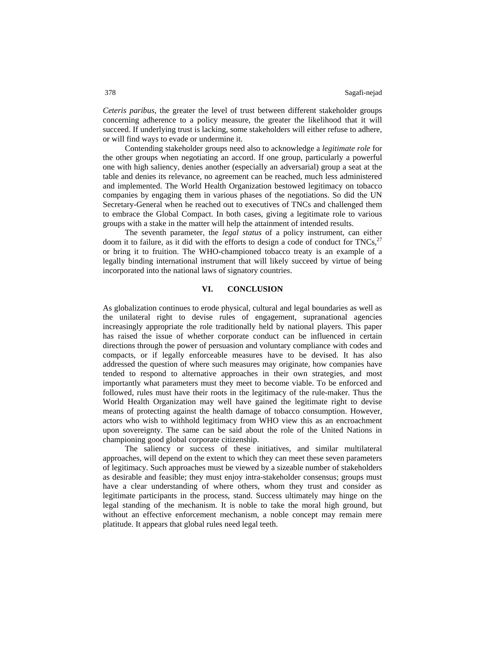*Ceteris paribus*, the greater the level of trust between different stakeholder groups concerning adherence to a policy measure, the greater the likelihood that it will succeed. If underlying trust is lacking, some stakeholders will either refuse to adhere, or will find ways to evade or undermine it.

Contending stakeholder groups need also to acknowledge a *legitimate role* for the other groups when negotiating an accord. If one group, particularly a powerful one with high saliency, denies another (especially an adversarial) group a seat at the table and denies its relevance, no agreement can be reached, much less administered and implemented. The World Health Organization bestowed legitimacy on tobacco companies by engaging them in various phases of the negotiations. So did the UN Secretary-General when he reached out to executives of TNCs and challenged them to embrace the Global Compact. In both cases, giving a legitimate role to various groups with a stake in the matter will help the attainment of intended results.

The seventh parameter, the *legal status* of a policy instrument, can either doom it to failure, as it did with the efforts to design a code of conduct for  $TNCs$ ,<sup>27</sup> or bring it to fruition. The WHO-championed tobacco treaty is an example of a legally binding international instrument that will likely succeed by virtue of being incorporated into the national laws of signatory countries.

#### **VI. CONCLUSION**

As globalization continues to erode physical, cultural and legal boundaries as well as the unilateral right to devise rules of engagement, supranational agencies increasingly appropriate the role traditionally held by national players. This paper has raised the issue of whether corporate conduct can be influenced in certain directions through the power of persuasion and voluntary compliance with codes and compacts, or if legally enforceable measures have to be devised. It has also addressed the question of where such measures may originate, how companies have tended to respond to alternative approaches in their own strategies, and most importantly what parameters must they meet to become viable. To be enforced and followed, rules must have their roots in the legitimacy of the rule-maker. Thus the World Health Organization may well have gained the legitimate right to devise means of protecting against the health damage of tobacco consumption. However, actors who wish to withhold legitimacy from WHO view this as an encroachment upon sovereignty. The same can be said about the role of the United Nations in championing good global corporate citizenship.

The saliency or success of these initiatives, and similar multilateral approaches, will depend on the extent to which they can meet these seven parameters of legitimacy. Such approaches must be viewed by a sizeable number of stakeholders as desirable and feasible; they must enjoy intra-stakeholder consensus; groups must have a clear understanding of where others, whom they trust and consider as legitimate participants in the process, stand. Success ultimately may hinge on the legal standing of the mechanism. It is noble to take the moral high ground, but without an effective enforcement mechanism, a noble concept may remain mere platitude. It appears that global rules need legal teeth.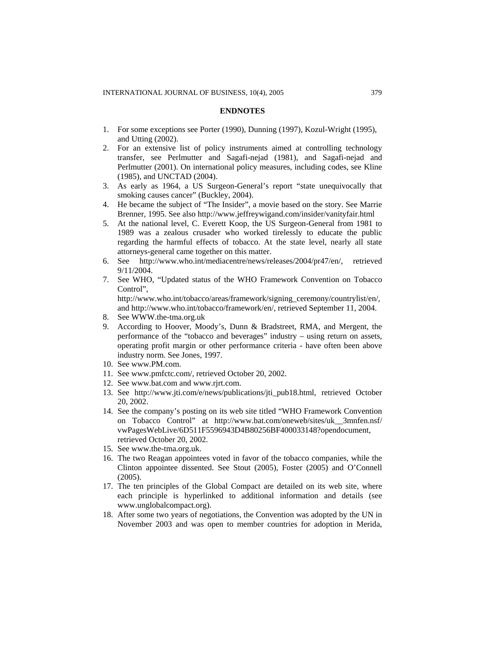#### **ENDNOTES**

- 1. For some exceptions see Porter (1990), Dunning (1997), Kozul-Wright (1995), and Utting (2002).
- 2. For an extensive list of policy instruments aimed at controlling technology transfer, see Perlmutter and Sagafi-nejad (1981), and Sagafi-nejad and Perlmutter (2001). On international policy measures, including codes, see Kline (1985), and UNCTAD (2004).
- 3. As early as 1964, a US Surgeon-General's report "state unequivocally that smoking causes cancer" (Buckley, 2004).
- 4. He became the subject of "The Insider", a movie based on the story. See Marrie Brenner, 1995. See also<http://www.jeffreywigand.com/insider/vanityfair.html>
- 5. At the national level, C. Everett Koop, the US Surgeon-General from 1981 to 1989 was a zealous crusader who worked tirelessly to educate the public regarding the harmful effects of tobacco. At the state level, nearly all state attorneys-general came together on this matter.
- 6. See [http://www.who.int/mediacentre/news/releases/2004/pr47/en/,](http://www.who.int/mediacentre/news/releases/2004/pr47/en/) retrieved 9/11/2004.
- 7. See WHO, "Updated status of the WHO Framework Convention on Tobacco Control",

[http://www.who.int/tobacco/areas/framework/signing\\_ceremony/countrylist/en/](http://www.who.int/tobacco/areas/framework/signing_ceremony/countrylist/en/), and<http://www.who.int/tobacco/framework/en/>, retrieved September 11, 2004.

- 8. See [WWW.the-tma.org.uk](http://www.the-tma.org.uk/)
- 9. According to Hoover, Moody's, Dunn & Bradstreet, RMA, and Mergent, the performance of the "tobacco and beverages" industry – using return on assets, operating profit margin or other performance criteria - have often been above industry norm. See Jones, 1997.
- 10. See [www.PM.com.](http://www.pm.com/)
- 11. See [www.pmfctc.com/,](http://www.pmfctc.com/) retrieved October 20, 2002.
- 12. See [www.bat.com](http://www.bat.com/) and [www.rjrt.com](http://www.rjrt.com/).
- 13. See [http://www.jti.com/e/news/publications/jti\\_pub18.html,](http://www.jti.com/e/news/publications/jti_pub18.html) retrieved October 20, 2002.
- 14. See the company's posting on its web site titled "WHO Framework Convention on Tobacco Control" at [http://www.bat.com/oneweb/sites/uk\\_\\_3mnfen.nsf/](http://www.bat.com/oneweb/sites/uk__3mnfen.nsf/ vwPagesWebLive/6D511F5596943D4B80256BF400033148?opendocument) [vwPagesWebLive/6D511F5596943D4B80256BF400033148?opendocument,](http://www.bat.com/oneweb/sites/uk__3mnfen.nsf/ vwPagesWebLive/6D511F5596943D4B80256BF400033148?opendocument) retrieved October 20, 2002.
- 15. See [www.the-tma.org.uk](http://www.the-tma.org.uk/).
- 16. The two Reagan appointees voted in favor of the tobacco companies, while the Clinton appointee dissented. See Stout (2005), Foster (2005) and O'Connell (2005).
- 17. The ten principles of the Global Compact are detailed on its web site, where each principle is hyperlinked to additional information and details (see [www.unglobalcompact.org](http://www.unglobalcompact.org/)).
- 18. After some two years of negotiations, the Convention was adopted by the UN in November 2003 and was open to member countries for adoption in Merida,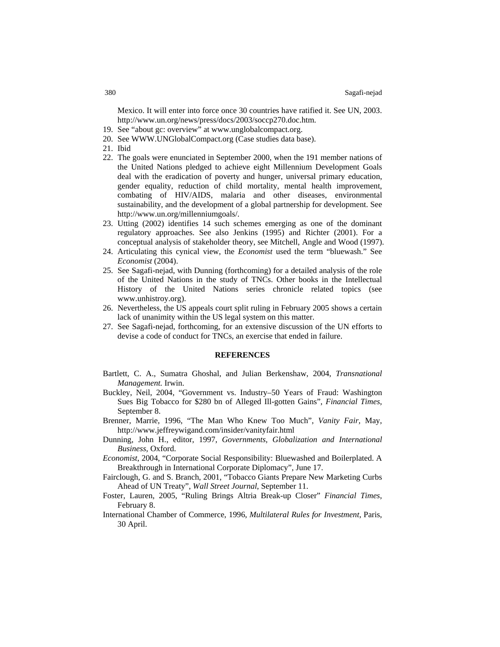Mexico. It will enter into force once 30 countries have ratified it. See UN, 2003. [http://www.un.org/news/press/docs/2003/soccp270.doc.htm.](http://www.un.org/News/Press/docs/2003/soccp270.doc.htm)

- 19. See "about gc: overview" at [www.unglobalcompact.org](http://www.unglobalcompact.org/).
- 20. See [WWW.UNGlobalCompact.org](http://www.unglobalcompact.org/) (Case studies data base).
- 21. Ibid
- 22. The goals were enunciated in September 2000, when the 191 member nations of the United Nations pledged to achieve eight Millennium Development Goals deal with the eradication of poverty and hunger, universal primary education, gender equality, reduction of child mortality, mental health improvement, combating of HIV/AIDS, malaria and other diseases, environmental sustainability, and the development of a global partnership for development. See [http://www.un.org/millenniumgoals/.](http://www.un.org/millenniumgoals/)
- 23. Utting (2002) identifies 14 such schemes emerging as one of the dominant regulatory approaches. See also Jenkins (1995) and Richter (2001). For a conceptual analysis of stakeholder theory, see Mitchell, Angle and Wood (1997).
- 24. Articulating this cynical view, the *Economist* used the term "bluewash." See *Economist* (2004).
- 25. See Sagafi-nejad, with Dunning (forthcoming) for a detailed analysis of the role of the United Nations in the study of TNCs. Other books in the Intellectual History of the United Nations series chronicle related topics (see [www.unhistroy.org](http://www.unhistroy.org/)).
- 26. Nevertheless, the US appeals court split ruling in February 2005 shows a certain lack of unanimity within the US legal system on this matter.
- 27. See Sagafi-nejad, forthcoming, for an extensive discussion of the UN efforts to devise a code of conduct for TNCs, an exercise that ended in failure.

#### **REFERENCES**

- Bartlett, C. A., Sumatra Ghoshal, and Julian Berkenshaw, 2004, *Transnational Management.* Irwin.
- Buckley, Neil, 2004, "Government vs. Industry–50 Years of Fraud: Washington Sues Big Tobacco for \$280 bn of Alleged Ill-gotten Gains", *Financial Times*, September 8.
- Brenner, Marrie, 1996, "The Man Who Knew Too Much", *Vanity Fair,* May, <http://www.jeffreywigand.com/insider/vanityfair.html>
- Dunning, John H., editor, 1997, *Governments, Globalization and International Business,* Oxford.
- *Economist*, 2004, "Corporate Social Responsibility: Bluewashed and Boilerplated. A Breakthrough in International Corporate Diplomacy", June 17.
- Fairclough, G. and S. Branch, 2001, "Tobacco Giants Prepare New Marketing Curbs Ahead of UN Treaty", *Wall Street Journal*, September 11.
- Foster, Lauren, 2005, "Ruling Brings Altria Break-up Closer" *Financial Times*, February 8.
- International Chamber of Commerce, 1996, *Multilateral Rules for Investment*, Paris, 30 April.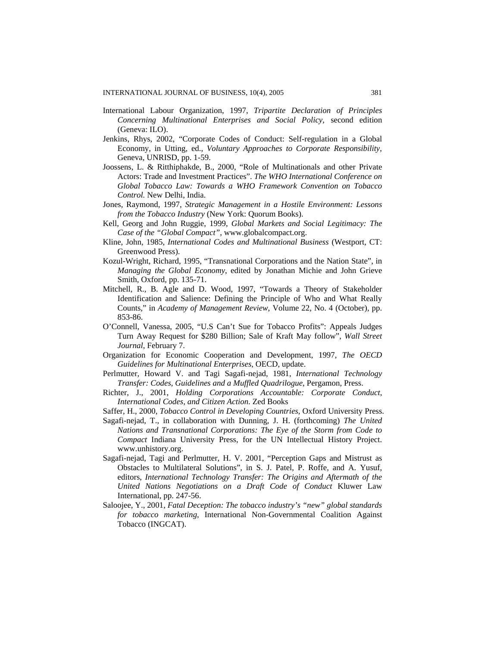- International Labour Organization, 1997, *Tripartite Declaration of Principles Concerning Multinational Enterprises and Social Policy,* second edition (Geneva: ILO).
- Jenkins, Rhys, 2002, "Corporate Codes of Conduct: Self-regulation in a Global Economy, in Utting, ed., *Voluntary Approaches to Corporate Responsibility*, Geneva, UNRISD, pp. 1-59.
- Joossens, L. & Ritthiphakde, B., 2000, "Role of Multinationals and other Private Actors: Trade and Investment Practices". *The WHO International Conference on Global Tobacco Law: Towards a WHO Framework Convention on Tobacco Control.* New Delhi, India.
- Jones, Raymond, 1997, *Strategic Management in a Hostile Environment: Lessons from the Tobacco Industry* (New York: Quorum Books).
- Kell, Georg and John Ruggie, 1999, *Global Markets and Social Legitimacy: The Case of the "Global Compact"*, [www.globalcompact.org.](http://www.globalcompact.org/)
- Kline, John, 1985, *International Codes and Multinational Business* (Westport, CT: Greenwood Press).
- Kozul-Wright, Richard, 1995, "Transnational Corporations and the Nation State", in *Managing the Global Economy*, edited by Jonathan Michie and John Grieve Smith, Oxford, pp. 135-71.
- Mitchell, R., B. Agle and D. Wood, 1997, "Towards a Theory of Stakeholder Identification and Salience: Defining the Principle of Who and What Really Counts," in *Academy of Management Review*, Volume 22, No. 4 (October), pp. 853-86.
- O'Connell, Vanessa, 2005, "U.S Can't Sue for Tobacco Profits": Appeals Judges Turn Away Request for \$280 Billion; Sale of Kraft May follow", *Wall Street Journal,* February 7.
- Organization for Economic Cooperation and Development, 1997, *The OECD Guidelines for Multinational Enterprises*, OECD, update.
- Perlmutter, Howard V. and Tagi Sagafi-nejad, 1981, *International Technology Transfer: Codes, Guidelines and a Muffled Quadrilogue*, Pergamon, Press.
- Richter, J., 2001, *Holding Corporations Accountable: Corporate Conduct, International Codes, and Citizen Action*. Zed Books
- Saffer, H., 2000, *Tobacco Control in Developing Countries*, Oxford University Press.
- Sagafi-nejad, T., in collaboration with Dunning, J. H. (forthcoming) *The United Nations and Transnational Corporations: The Eye of the Storm from Code to Compact* Indiana University Press, for the UN Intellectual History Project. www.unhistory.org.
- Sagafi-nejad, Tagi and Perlmutter, H. V. 2001, "Perception Gaps and Mistrust as Obstacles to Multilateral Solutions", in S. J. Patel, P. Roffe, and A. Yusuf, editors, *International Technology Transfer: The Origins and Aftermath of the United Nations Negotiations on a Draft Code of Conduct* Kluwer Law International, pp. 247-56.
- Saloojee, Y., 2001, *Fatal Deception: The tobacco industry's "new" global standards for tobacco marketing*, International Non-Governmental Coalition Against Tobacco (INGCAT).